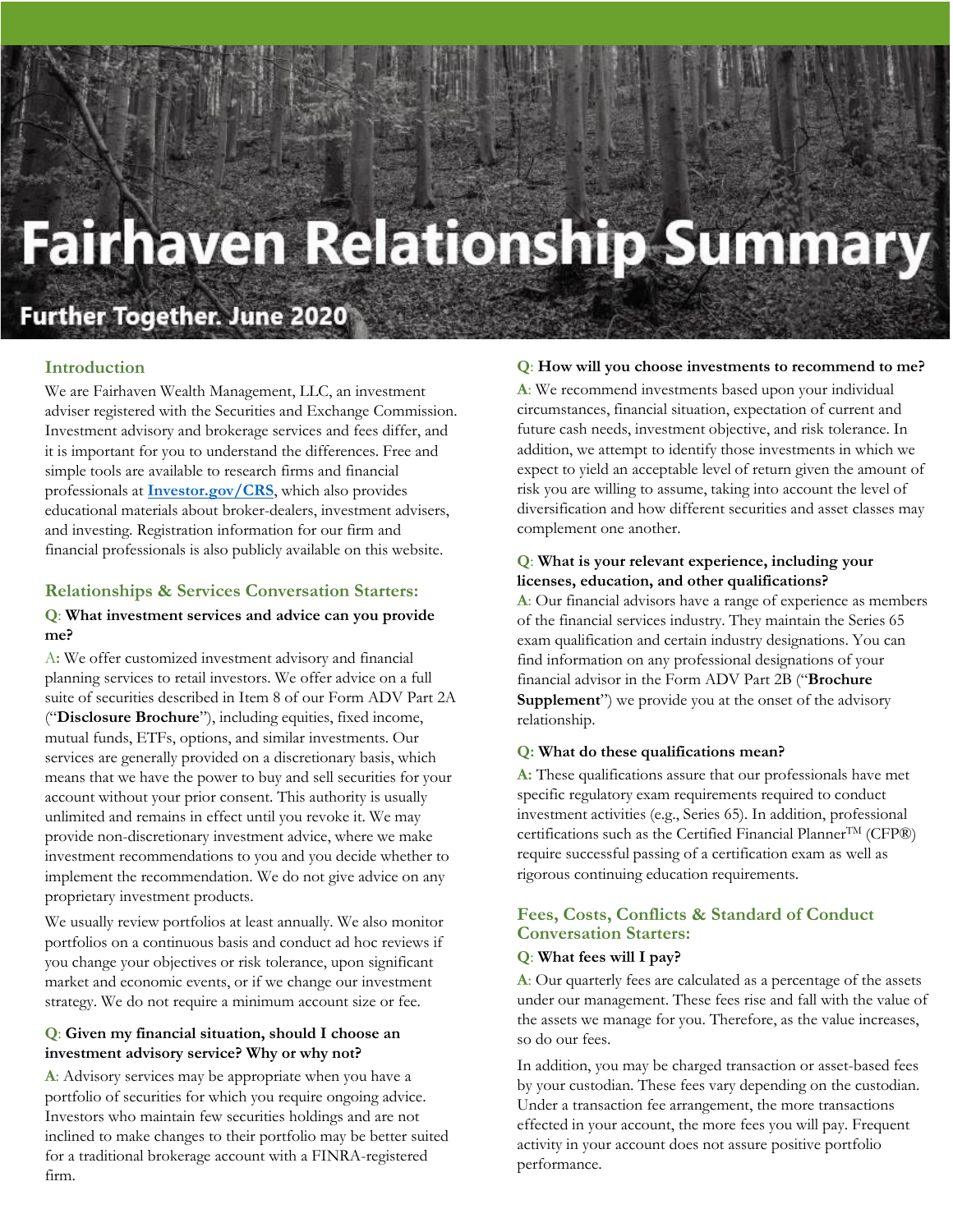# **Fairhaven Relationship Summary**

# **Further Together. June 2020**

# **Introduction**

We are Fairhaven Wealth Management, LLC, an investment adviser registered with the Securities and Exchange Commission. Investment advisory and brokerage services and fees differ, and it is important for you to understand the differences. Free and simple tools are available to research firms and financial professionals at **[Investor.gov/CRS](https://www.investor.gov/home/welcome-investor-gov-crs)**, which also provides educational materials about broker-dealers, investment advisers, and investing. Registration information for our firm and financial professionals is also publicly available on this website.

## **Relationships & Services Conversation Starters:**

# **Q**: **What investment services and advice can you provide me?**

A**:** We offer customized investment advisory and financial planning services to retail investors. We offer advice on a full suite of securities described in Item 8 of our Form ADV Part 2A ("**Disclosure Brochure**"), including equities, fixed income, mutual funds, ETFs, options, and similar investments. Our services are generally provided on a discretionary basis, which means that we have the power to buy and sell securities for your account without your prior consent. This authority is usually unlimited and remains in effect until you revoke it. We may provide non-discretionary investment advice, where we make investment recommendations to you and you decide whether to implement the recommendation. We do not give advice on any proprietary investment products.

We usually review portfolios at least annually. We also monitor portfolios on a continuous basis and conduct ad hoc reviews if you change your objectives or risk tolerance, upon significant market and economic events, or if we change our investment strategy. We do not require a minimum account size or fee.

## **Q**: **Given my financial situation, should I choose an investment advisory service? Why or why not?**

**A**: Advisory services may be appropriate when you have a portfolio of securities for which you require ongoing advice. Investors who maintain few securities holdings and are not inclined to make changes to their portfolio may be better suited for a traditional brokerage account with a FINRA-registered firm.

#### **Q**: **How will you choose investments to recommend to me?**

**A**: We recommend investments based upon your individual circumstances, financial situation, expectation of current and future cash needs, investment objective, and risk tolerance. In addition, we attempt to identify those investments in which we expect to yield an acceptable level of return given the amount of risk you are willing to assume, taking into account the level of diversification and how different securities and asset classes may complement one another.

#### **Q**: **What is your relevant experience, including your licenses, education, and other qualifications?**

**A**: Our financial advisors have a range of experience as members of the financial services industry. They maintain the Series 65 exam qualification and certain industry designations. You can find information on any professional designations of your financial advisor in the Form ADV Part 2B ("**Brochure Supplement**") we provide you at the onset of the advisory relationship.

#### **Q: What do these qualifications mean?**

**A:** These qualifications assure that our professionals have met specific regulatory exam requirements required to conduct investment activities (e.g., Series 65). In addition, professional certifications such as the Certified Financial Planner<sup>TM</sup> (CFP®) require successful passing of a certification exam as well as rigorous continuing education requirements.

# **Fees, Costs, Conflicts & Standard of Conduct Conversation Starters:**

#### **Q**: **What fees will I pay?**

**A**: Our quarterly fees are calculated as a percentage of the assets under our management. These fees rise and fall with the value of the assets we manage for you. Therefore, as the value increases, so do our fees.

In addition, you may be charged transaction or asset-based fees by your custodian. These fees vary depending on the custodian. Under a transaction fee arrangement, the more transactions effected in your account, the more fees you will pay. Frequent activity in your account does not assure positive portfolio performance.